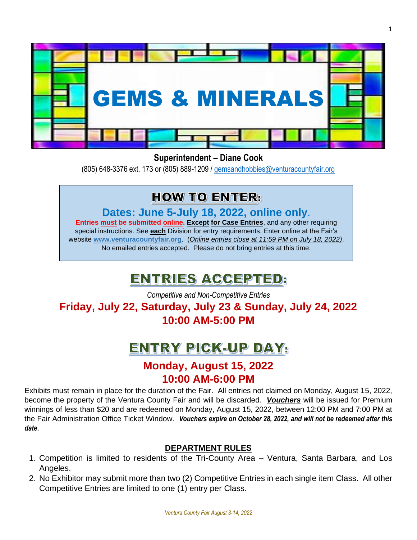

# **Superintendent – Diane Cook**

(805) 648-3376 ext. 173 or (805) 889-1209 / [gemsandhobbies@venturacountyfair.org](mailto:gemsandhobbies@venturacountyfair.org)

# **HOW TO ENTER:**

**Dates: June 5-July 18, 2022, online only**.

**Entries must be submitted online. Except for Case Entries**, and any other requiring special instructions. See **each** Division for entry requirements. Enter online at the Fair's website **[www.venturacountyfair.org](http://www.venturacountyfair.org/)**. (*Online entries close at 11:59 PM on July 18, 2022)*. No emailed entries accepted. Please do not bring entries at this time.

# ENTRIES ACCEPTED:

*Competitive and Non-Competitive Entries* **Friday, July 22, Saturday, July 23 & Sunday, July 24, 2022 10:00 AM-5:00 PM**

# **ENTRY PICK-UP DAY:**

# **Monday, August 15, 2022 10:00 AM-6:00 PM**

Exhibits must remain in place for the duration of the Fair. All entries not claimed on Monday, August 15, 2022, become the property of the Ventura County Fair and will be discarded. *Vouchers* will be issued for Premium winnings of less than \$20 and are redeemed on Monday, August 15, 2022, between 12:00 PM and 7:00 PM at the Fair Administration Office Ticket Window. *Vouchers expire on October 28, 2022, and will not be redeemed after this date*.

# **DEPARTMENT RULES**

- 1. Competition is limited to residents of the Tri-County Area Ventura, Santa Barbara, and Los Angeles.
- 2. No Exhibitor may submit more than two (2) Competitive Entries in each single item Class. All other Competitive Entries are limited to one (1) entry per Class.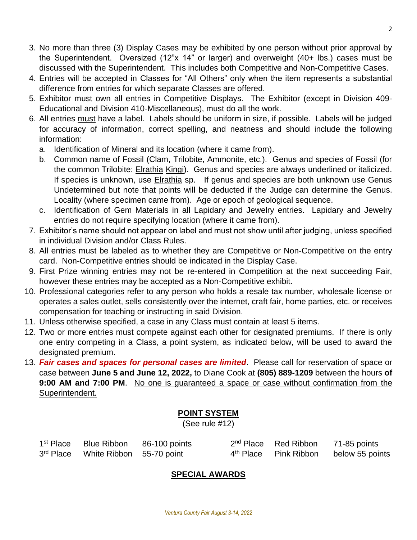- 3. No more than three (3) Display Cases may be exhibited by one person without prior approval by the Superintendent. Oversized (12"x 14" or larger) and overweight (40+ lbs.) cases must be discussed with the Superintendent. This includes both Competitive and Non-Competitive Cases.
- 4. Entries will be accepted in Classes for "All Others" only when the item represents a substantial difference from entries for which separate Classes are offered.
- 5. Exhibitor must own all entries in Competitive Displays. The Exhibitor (except in Division 409- Educational and Division 410-Miscellaneous), must do all the work.
- 6. All entries must have a label. Labels should be uniform in size, if possible. Labels will be judged for accuracy of information, correct spelling, and neatness and should include the following information:
	- a. Identification of Mineral and its location (where it came from).
	- b. Common name of Fossil (Clam, Trilobite, Ammonite, etc.). Genus and species of Fossil (for the common Trilobite: Elrathia Kingi). Genus and species are always underlined or italicized. If species is unknown, use **Elrathia** sp. If genus and species are both unknown use Genus Undetermined but note that points will be deducted if the Judge can determine the Genus. Locality (where specimen came from). Age or epoch of geological sequence.
	- c. Identification of Gem Materials in all Lapidary and Jewelry entries. Lapidary and Jewelry entries do not require specifying location (where it came from).
- 7. Exhibitor's name should not appear on label and must not show until after judging, unless specified in individual Division and/or Class Rules.
- 8. All entries must be labeled as to whether they are Competitive or Non-Competitive on the entry card. Non-Competitive entries should be indicated in the Display Case.
- 9. First Prize winning entries may not be re-entered in Competition at the next succeeding Fair, however these entries may be accepted as a Non-Competitive exhibit.
- 10. Professional categories refer to any person who holds a resale tax number, wholesale license or operates a sales outlet, sells consistently over the internet, craft fair, home parties, etc. or receives compensation for teaching or instructing in said Division.
- 11. Unless otherwise specified, a case in any Class must contain at least 5 items.
- 12. Two or more entries must compete against each other for designated premiums. If there is only one entry competing in a Class, a point system, as indicated below, will be used to award the designated premium.
- 13. *Fair cases and spaces for personal cases are limited*. Please call for reservation of space or case between **June 5 and June 12, 2022,** to Diane Cook at **(805) 889-1209** between the hours **of 9:00 AM and 7:00 PM**. No one is guaranteed a space or case without confirmation from the Superintendent.

# **POINT SYSTEM**

(See rule #12)

| 1 <sup>st</sup> Place |                                    | Blue Ribbon 86-100 points | 2 <sup>nd</sup> Place Red Ribbon | 71-85 points                                      |
|-----------------------|------------------------------------|---------------------------|----------------------------------|---------------------------------------------------|
|                       | 3rd Place White Ribbon 55-70 point |                           |                                  | 4 <sup>th</sup> Place Pink Ribbon below 55 points |

# **SPECIAL AWARDS**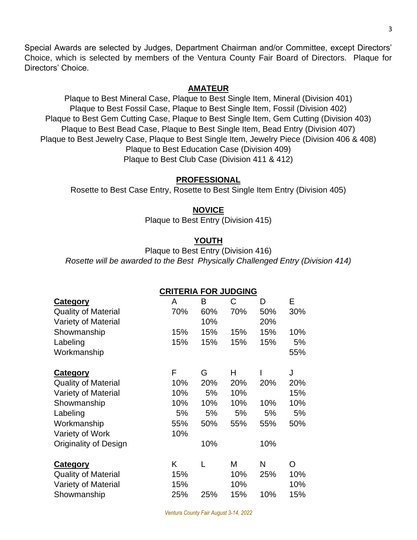Special Awards are selected by Judges, Department Chairman and/or Committee, except Directors' Choice, which is selected by members of the Ventura County Fair Board of Directors. Plaque for Directors' Choice.

#### **AMATEUR**

Plaque to Best Mineral Case, Plaque to Best Single Item, Mineral (Division 401) Plaque to Best Fossil Case, Plaque to Best Single Item, Fossil (Division 402) Plaque to Best Gem Cutting Case, Plaque to Best Single Item, Gem Cutting (Division 403) Plaque to Best Bead Case, Plaque to Best Single Item, Bead Entry (Division 407) Plaque to Best Jewelry Case, Plaque to Best Single Item, Jewelry Piece (Division 406 & 408) Plaque to Best Education Case (Division 409) Plaque to Best Club Case (Division 411 & 412)

#### **PROFESSIONAL**

Rosette to Best Case Entry, Rosette to Best Single Item Entry (Division 405)

#### **NOVICE**

Plaque to Best Entry (Division 415)

# **YOUTH**

Plaque to Best Entry (Division 416) *Rosette will be awarded to the Best Physically Challenged Entry (Division 414)*

**CRITERIA FOR JUDGING**

|                              | <u>CRITERIA FOR JUDGING</u> |     |     |     |     |
|------------------------------|-----------------------------|-----|-----|-----|-----|
| <b>Category</b>              | A                           | В   | С   | D   | Е   |
| <b>Quality of Material</b>   | 70%                         | 60% | 70% | 50% | 30% |
| Variety of Material          |                             | 10% |     | 20% |     |
| Showmanship                  | 15%                         | 15% | 15% | 15% | 10% |
| Labeling                     | 15%                         | 15% | 15% | 15% | 5%  |
| Workmanship                  |                             |     |     |     | 55% |
| <b>Category</b>              | F                           | G   | H   |     | J   |
| <b>Quality of Material</b>   | 10%                         | 20% | 20% | 20% | 20% |
| Variety of Material          | 10%                         | 5%  | 10% |     | 15% |
| Showmanship                  | 10%                         | 10% | 10% | 10% | 10% |
| Labeling                     | 5%                          | 5%  | 5%  | 5%  | 5%  |
| Workmanship                  | 55%                         | 50% | 55% | 55% | 50% |
| Variety of Work              | 10%                         |     |     |     |     |
| <b>Originality of Design</b> |                             | 10% |     | 10% |     |
| <b>Category</b>              | K                           |     | M   | N   | O   |
| <b>Quality of Material</b>   | 15%                         |     | 10% | 25% | 10% |
| Variety of Material          | 15%                         |     | 10% |     | 10% |
| Showmanship                  | 25%                         | 25% | 15% | 10% | 15% |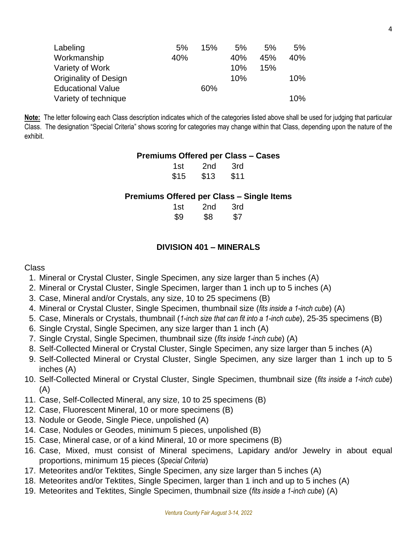| Labeling                     | 5%  | 15% | 5%  | 5%  | 5%  |
|------------------------------|-----|-----|-----|-----|-----|
| Workmanship                  | 40% |     | 40% | 45% | 40% |
| Variety of Work              |     |     | 10% | 15% |     |
| <b>Originality of Design</b> |     |     | 10% |     | 10% |
| <b>Educational Value</b>     |     | 60% |     |     |     |
| Variety of technique         |     |     |     |     | 10% |

**Note:** The letter following each Class description indicates which of the categories listed above shall be used for judging that particular Class. The designation "Special Criteria" shows scoring for categories may change within that Class, depending upon the nature of the exhibit.

#### **Premiums Offered per Class – Cases**

| 1st  | 2nd  | 3rd  |
|------|------|------|
| \$15 | \$13 | \$11 |

#### **Premiums Offered per Class – Single Items**

| 1st | 2nd | 3rd |
|-----|-----|-----|
| \$9 | \$8 | \$7 |

#### **DIVISION 401 – MINERALS**

- 1. Mineral or Crystal Cluster, Single Specimen, any size larger than 5 inches (A)
- 2. Mineral or Crystal Cluster, Single Specimen, larger than 1 inch up to 5 inches (A)
- 3. Case, Mineral and/or Crystals, any size, 10 to 25 specimens (B)
- 4. Mineral or Crystal Cluster, Single Specimen, thumbnail size (*fits inside a 1-inch cube*) (A)
- 5. Case, Minerals or Crystals, thumbnail (*1-inch size that can fit into a 1-inch cube*), 25-35 specimens (B)
- 6. Single Crystal, Single Specimen, any size larger than 1 inch (A)
- 7. Single Crystal, Single Specimen, thumbnail size (*fits inside 1-inch cube*) (A)
- 8. Self-Collected Mineral or Crystal Cluster, Single Specimen, any size larger than 5 inches (A)
- 9. Self-Collected Mineral or Crystal Cluster, Single Specimen, any size larger than 1 inch up to 5 inches (A)
- 10. Self-Collected Mineral or Crystal Cluster, Single Specimen, thumbnail size (*fits inside a 1-inch cube*) (A)
- 11. Case, Self-Collected Mineral, any size, 10 to 25 specimens (B)
- 12. Case, Fluorescent Mineral, 10 or more specimens (B)
- 13. Nodule or Geode, Single Piece, unpolished (A)
- 14. Case, Nodules or Geodes, minimum 5 pieces, unpolished (B)
- 15. Case, Mineral case, or of a kind Mineral, 10 or more specimens (B)
- 16. Case, Mixed, must consist of Mineral specimens, Lapidary and/or Jewelry in about equal proportions, minimum 15 pieces (*Special Criteria*)
- 17. Meteorites and/or Tektites, Single Specimen, any size larger than 5 inches (A)
- 18. Meteorites and/or Tektites, Single Specimen, larger than 1 inch and up to 5 inches (A)
- 19. Meteorites and Tektites, Single Specimen, thumbnail size (*fits inside a 1-inch cube*) (A)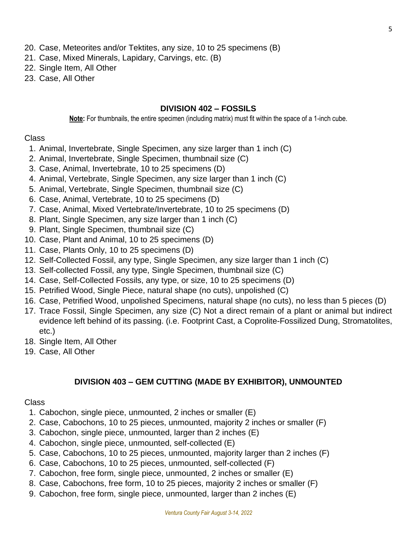- 20. Case, Meteorites and/or Tektites, any size, 10 to 25 specimens (B)
- 21. Case, Mixed Minerals, Lapidary, Carvings, etc. (B)
- 22. Single Item, All Other
- 23. Case, All Other

#### **DIVISION 402 – FOSSILS**

**Note:** For thumbnails, the entire specimen (including matrix) must fit within the space of a 1-inch cube.

#### Class

- 1. Animal, Invertebrate, Single Specimen, any size larger than 1 inch (C)
- 2. Animal, Invertebrate, Single Specimen, thumbnail size (C)
- 3. Case, Animal, Invertebrate, 10 to 25 specimens (D)
- 4. Animal, Vertebrate, Single Specimen, any size larger than 1 inch (C)
- 5. Animal, Vertebrate, Single Specimen, thumbnail size (C)
- 6. Case, Animal, Vertebrate, 10 to 25 specimens (D)
- 7. Case, Animal, Mixed Vertebrate/Invertebrate, 10 to 25 specimens (D)
- 8. Plant, Single Specimen, any size larger than 1 inch (C)
- 9. Plant, Single Specimen, thumbnail size (C)
- 10. Case, Plant and Animal, 10 to 25 specimens (D)
- 11. Case, Plants Only, 10 to 25 specimens (D)
- 12. Self-Collected Fossil, any type, Single Specimen, any size larger than 1 inch (C)
- 13. Self-collected Fossil, any type, Single Specimen, thumbnail size (C)
- 14. Case, Self-Collected Fossils, any type, or size, 10 to 25 specimens (D)
- 15. Petrified Wood, Single Piece, natural shape (no cuts), unpolished (C)
- 16. Case, Petrified Wood, unpolished Specimens, natural shape (no cuts), no less than 5 pieces (D)
- 17. Trace Fossil, Single Specimen, any size (C) Not a direct remain of a plant or animal but indirect evidence left behind of its passing. (i.e. Footprint Cast, a Coprolite-Fossilized Dung, Stromatolites, etc.)
- 18. Single Item, All Other
- 19. Case, All Other

# **DIVISION 403 – GEM CUTTING (MADE BY EXHIBITOR), UNMOUNTED**

- 1. Cabochon, single piece, unmounted, 2 inches or smaller (E)
- 2. Case, Cabochons, 10 to 25 pieces, unmounted, majority 2 inches or smaller (F)
- 3. Cabochon, single piece, unmounted, larger than 2 inches (E)
- 4. Cabochon, single piece, unmounted, self-collected (E)
- 5. Case, Cabochons, 10 to 25 pieces, unmounted, majority larger than 2 inches (F)
- 6. Case, Cabochons, 10 to 25 pieces, unmounted, self-collected (F)
- 7. Cabochon, free form, single piece, unmounted, 2 inches or smaller (E)
- 8. Case, Cabochons, free form, 10 to 25 pieces, majority 2 inches or smaller (F)
- 9. Cabochon, free form, single piece, unmounted, larger than 2 inches (E)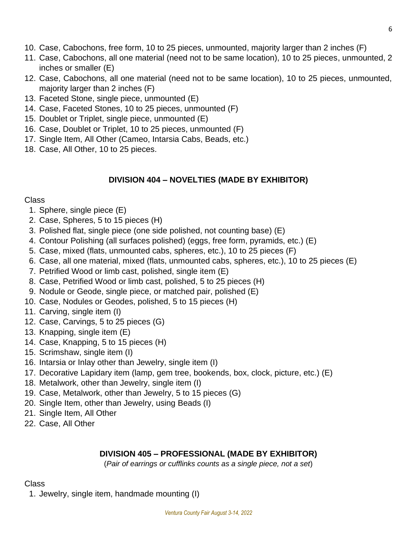- 10. Case, Cabochons, free form, 10 to 25 pieces, unmounted, majority larger than 2 inches (F)
- 11. Case, Cabochons, all one material (need not to be same location), 10 to 25 pieces, unmounted, 2 inches or smaller (E)
- 12. Case, Cabochons, all one material (need not to be same location), 10 to 25 pieces, unmounted, majority larger than 2 inches (F)
- 13. Faceted Stone, single piece, unmounted (E)
- 14. Case, Faceted Stones, 10 to 25 pieces, unmounted (F)
- 15. Doublet or Triplet, single piece, unmounted (E)
- 16. Case, Doublet or Triplet, 10 to 25 pieces, unmounted (F)
- 17. Single Item, All Other (Cameo, Intarsia Cabs, Beads, etc.)
- 18. Case, All Other, 10 to 25 pieces.

# **DIVISION 404 – NOVELTIES (MADE BY EXHIBITOR)**

# Class

- 1. Sphere, single piece (E)
- 2. Case, Spheres, 5 to 15 pieces (H)
- 3. Polished flat, single piece (one side polished, not counting base) (E)
- 4. Contour Polishing (all surfaces polished) (eggs, free form, pyramids, etc.) (E)
- 5. Case, mixed (flats, unmounted cabs, spheres, etc.), 10 to 25 pieces (F)
- 6. Case, all one material, mixed (flats, unmounted cabs, spheres, etc.), 10 to 25 pieces (E)
- 7. Petrified Wood or limb cast, polished, single item (E)
- 8. Case, Petrified Wood or limb cast, polished, 5 to 25 pieces (H)
- 9. Nodule or Geode, single piece, or matched pair, polished (E)
- 10. Case, Nodules or Geodes, polished, 5 to 15 pieces (H)
- 11. Carving, single item (I)
- 12. Case, Carvings, 5 to 25 pieces (G)
- 13. Knapping, single item (E)
- 14. Case, Knapping, 5 to 15 pieces (H)
- 15. Scrimshaw, single item (I)
- 16. Intarsia or Inlay other than Jewelry, single item (I)
- 17. Decorative Lapidary item (lamp, gem tree, bookends, box, clock, picture, etc.) (E)
- 18. Metalwork, other than Jewelry, single item (I)
- 19. Case, Metalwork, other than Jewelry, 5 to 15 pieces (G)
- 20. Single Item, other than Jewelry, using Beads (I)
- 21. Single Item, All Other
- 22. Case, All Other

# **DIVISION 405 – PROFESSIONAL (MADE BY EXHIBITOR)**

(*Pair of earrings or cufflinks counts as a single piece, not a set*)

# **Class**

1. Jewelry, single item, handmade mounting (I)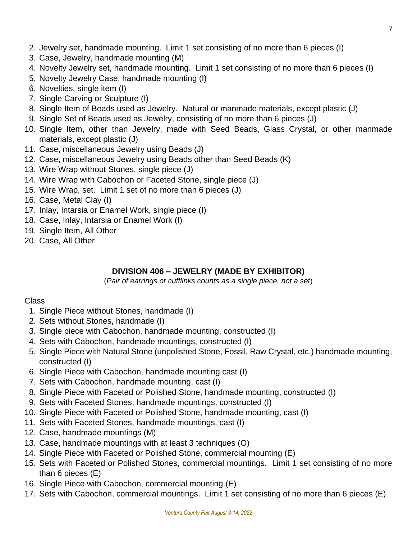- 2. Jewelry set, handmade mounting. Limit 1 set consisting of no more than 6 pieces (I)
- 3. Case, Jewelry, handmade mounting (M)
- 4. Novelty Jewelry set, handmade mounting. Limit 1 set consisting of no more than 6 pieces (I)
- 5. Novelty Jewelry Case, handmade mounting (I)
- 6. Novelties, single item (I)
- 7. Single Carving or Sculpture (I)
- 8. Single Item of Beads used as Jewelry. Natural or manmade materials, except plastic (J)
- 9. Single Set of Beads used as Jewelry, consisting of no more than 6 pieces (J)
- 10. Single Item, other than Jewelry, made with Seed Beads, Glass Crystal, or other manmade materials, except plastic (J)
- 11. Case, miscellaneous Jewelry using Beads (J)
- 12. Case, miscellaneous Jewelry using Beads other than Seed Beads (K)
- 13. Wire Wrap without Stones, single piece (J)
- 14. Wire Wrap with Cabochon or Faceted Stone, single piece (J)
- 15. Wire Wrap, set. Limit 1 set of no more than 6 pieces (J)
- 16. Case, Metal Clay (I)
- 17. Inlay, Intarsia or Enamel Work, single piece (I)
- 18. Case, Inlay, Intarsia or Enamel Work (I)
- 19. Single Item, All Other
- 20. Case, All Other

# **DIVISION 406 – JEWELRY (MADE BY EXHIBITOR)**

(*Pair of earrings or cufflinks counts as a single piece, not a set*)

- 1. Single Piece without Stones, handmade (I)
- 2. Sets without Stones, handmade (I)
- 3. Single piece with Cabochon, handmade mounting, constructed (I)
- 4. Sets with Cabochon, handmade mountings, constructed (I)
- 5. Single Piece with Natural Stone (unpolished Stone, Fossil, Raw Crystal, etc.) handmade mounting, constructed (I)
- 6. Single Piece with Cabochon, handmade mounting cast (I)
- 7. Sets with Cabochon, handmade mounting, cast (I)
- 8. Single Piece with Faceted or Polished Stone, handmade mounting, constructed (I)
- 9. Sets with Faceted Stones, handmade mountings, constructed (I)
- 10. Single Piece with Faceted or Polished Stone, handmade mounting, cast (I)
- 11. Sets with Faceted Stones, handmade mountings, cast (I)
- 12. Case, handmade mountings (M)
- 13. Case, handmade mountings with at least 3 techniques (O)
- 14. Single Piece with Faceted or Polished Stone, commercial mounting (E)
- 15. Sets with Faceted or Polished Stones, commercial mountings. Limit 1 set consisting of no more than 6 pieces (E)
- 16. Single Piece with Cabochon, commercial mounting (E)
- 17. Sets with Cabochon, commercial mountings. Limit 1 set consisting of no more than 6 pieces (E)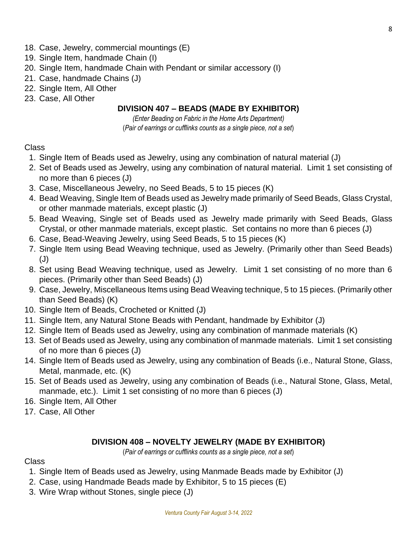- 18. Case, Jewelry, commercial mountings (E)
- 19. Single Item, handmade Chain (I)
- 20. Single Item, handmade Chain with Pendant or similar accessory (I)
- 21. Case, handmade Chains (J)
- 22. Single Item, All Other
- 23. Case, All Other

#### **DIVISION 407 – BEADS (MADE BY EXHIBITOR)**

*(Enter Beading on Fabric in the Home Arts Department)* (*Pair of earrings or cufflinks counts as a single piece, not a set*)

#### Class

- 1. Single Item of Beads used as Jewelry, using any combination of natural material (J)
- 2. Set of Beads used as Jewelry, using any combination of natural material. Limit 1 set consisting of no more than 6 pieces (J)
- 3. Case, Miscellaneous Jewelry, no Seed Beads, 5 to 15 pieces (K)
- 4. Bead Weaving, Single Item of Beads used as Jewelry made primarily of Seed Beads, Glass Crystal, or other manmade materials, except plastic (J)
- 5. Bead Weaving, Single set of Beads used as Jewelry made primarily with Seed Beads, Glass Crystal, or other manmade materials, except plastic. Set contains no more than 6 pieces (J)
- 6. Case, Bead-Weaving Jewelry, using Seed Beads, 5 to 15 pieces (K)
- 7. Single Item using Bead Weaving technique, used as Jewelry. (Primarily other than Seed Beads) (J)
- 8. Set using Bead Weaving technique, used as Jewelry. Limit 1 set consisting of no more than 6 pieces. (Primarily other than Seed Beads) (J)
- 9. Case, Jewelry, Miscellaneous Items using Bead Weaving technique, 5 to 15 pieces. (Primarily other than Seed Beads) (K)
- 10. Single Item of Beads, Crocheted or Knitted (J)
- 11. Single Item, any Natural Stone Beads with Pendant, handmade by Exhibitor (J)
- 12. Single Item of Beads used as Jewelry, using any combination of manmade materials (K)
- 13. Set of Beads used as Jewelry, using any combination of manmade materials. Limit 1 set consisting of no more than 6 pieces (J)
- 14. Single Item of Beads used as Jewelry, using any combination of Beads (i.e., Natural Stone, Glass, Metal, manmade, etc. (K)
- 15. Set of Beads used as Jewelry, using any combination of Beads (i.e., Natural Stone, Glass, Metal, manmade, etc.). Limit 1 set consisting of no more than 6 pieces (J)
- 16. Single Item, All Other
- 17. Case, All Other

#### **DIVISION 408 – NOVELTY JEWELRY (MADE BY EXHIBITOR)**

(*Pair of earrings or cufflinks counts as a single piece, not a set*)

- 1. Single Item of Beads used as Jewelry, using Manmade Beads made by Exhibitor (J)
- 2. Case, using Handmade Beads made by Exhibitor, 5 to 15 pieces (E)
- 3. Wire Wrap without Stones, single piece (J)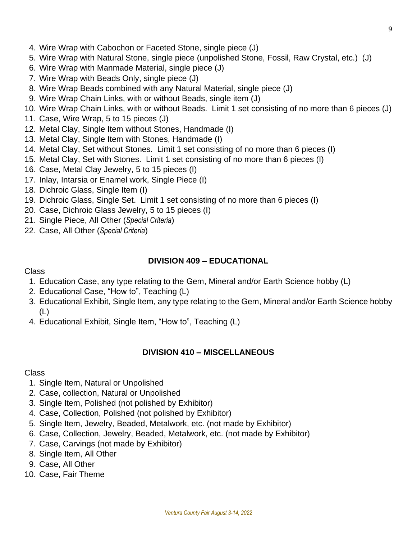- 4. Wire Wrap with Cabochon or Faceted Stone, single piece (J)
- 5. Wire Wrap with Natural Stone, single piece (unpolished Stone, Fossil, Raw Crystal, etc.) (J)
- 6. Wire Wrap with Manmade Material, single piece (J)
- 7. Wire Wrap with Beads Only, single piece (J)
- 8. Wire Wrap Beads combined with any Natural Material, single piece (J)
- 9. Wire Wrap Chain Links, with or without Beads, single item (J)
- 10. Wire Wrap Chain Links, with or without Beads. Limit 1 set consisting of no more than 6 pieces (J)
- 11. Case, Wire Wrap, 5 to 15 pieces (J)
- 12. Metal Clay, Single Item without Stones, Handmade (I)
- 13. Metal Clay, Single Item with Stones, Handmade (I)
- 14. Metal Clay, Set without Stones. Limit 1 set consisting of no more than 6 pieces (I)
- 15. Metal Clay, Set with Stones. Limit 1 set consisting of no more than 6 pieces (I)
- 16. Case, Metal Clay Jewelry, 5 to 15 pieces (I)
- 17. Inlay, Intarsia or Enamel work, Single Piece (I)
- 18. Dichroic Glass, Single Item (I)
- 19. Dichroic Glass, Single Set. Limit 1 set consisting of no more than 6 pieces (I)
- 20. Case, Dichroic Glass Jewelry, 5 to 15 pieces (I)
- 21. Single Piece, All Other (*Special Criteria*)
- 22. Case, All Other (*Special Criteria*)

#### **DIVISION 409 – EDUCATIONAL**

#### Class

- 1. Education Case, any type relating to the Gem, Mineral and/or Earth Science hobby (L)
- 2. Educational Case, "How to", Teaching (L)
- 3. Educational Exhibit, Single Item, any type relating to the Gem, Mineral and/or Earth Science hobby (L)
- 4. Educational Exhibit, Single Item, "How to", Teaching (L)

# **DIVISION 410 – MISCELLANEOUS**

- 1. Single Item, Natural or Unpolished
- 2. Case, collection, Natural or Unpolished
- 3. Single Item, Polished (not polished by Exhibitor)
- 4. Case, Collection, Polished (not polished by Exhibitor)
- 5. Single Item, Jewelry, Beaded, Metalwork, etc. (not made by Exhibitor)
- 6. Case, Collection, Jewelry, Beaded, Metalwork, etc. (not made by Exhibitor)
- 7. Case, Carvings (not made by Exhibitor)
- 8. Single Item, All Other
- 9. Case, All Other
- 10. Case, Fair Theme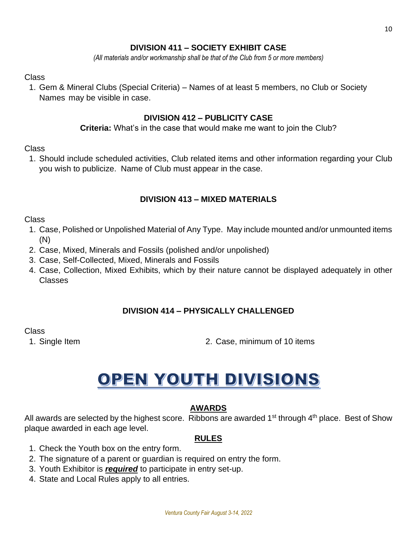# **DIVISION 411 – SOCIETY EXHIBIT CASE**

*(All materials and/or workmanship shall be that of the Club from 5 or more members)*

#### Class

1. Gem & Mineral Clubs (Special Criteria) – Names of at least 5 members, no Club or Society Names may be visible in case.

#### **DIVISION 412 – PUBLICITY CASE**

#### **Criteria:** What's in the case that would make me want to join the Club?

#### Class

1. Should include scheduled activities, Club related items and other information regarding your Club you wish to publicize. Name of Club must appear in the case.

#### **DIVISION 413 – MIXED MATERIALS**

#### Class

- 1. Case, Polished or Unpolished Material of Any Type. May include mounted and/or unmounted items (N)
- 2. Case, Mixed, Minerals and Fossils (polished and/or unpolished)
- 3. Case, Self-Collected, Mixed, Minerals and Fossils
- 4. Case, Collection, Mixed Exhibits, which by their nature cannot be displayed adequately in other Classes

# **DIVISION 414 – PHYSICALLY CHALLENGED**

#### Class

1. Single Item 2. Case, minimum of 10 items

# OPEN YOUTH DIVISIONS

# **AWARDS**

All awards are selected by the highest score. Ribbons are awarded  $1<sup>st</sup>$  through  $4<sup>th</sup>$  place. Best of Show plaque awarded in each age level.

# **RULES**

- 1. Check the Youth box on the entry form.
- 2. The signature of a parent or guardian is required on entry the form.
- 3. Youth Exhibitor is *required* to participate in entry set-up.
- 4. State and Local Rules apply to all entries.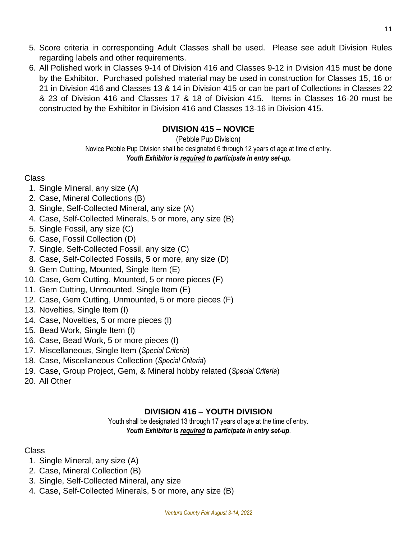- 5. Score criteria in corresponding Adult Classes shall be used. Please see adult Division Rules regarding labels and other requirements.
- 6. All Polished work in Classes 9-14 of Division 416 and Classes 9-12 in Division 415 must be done by the Exhibitor. Purchased polished material may be used in construction for Classes 15, 16 or 21 in Division 416 and Classes 13 & 14 in Division 415 or can be part of Collections in Classes 22 & 23 of Division 416 and Classes 17 & 18 of Division 415. Items in Classes 16-20 must be constructed by the Exhibitor in Division 416 and Classes 13-16 in Division 415.

# **DIVISION 415 – NOVICE**

(Pebble Pup Division) Novice Pebble Pup Division shall be designated 6 through 12 years of age at time of entry. *Youth Exhibitor is required to participate in entry set-up.*

# Class

- 1. Single Mineral, any size (A)
- 2. Case, Mineral Collections (B)
- 3. Single, Self-Collected Mineral, any size (A)
- 4. Case, Self-Collected Minerals, 5 or more, any size (B)
- 5. Single Fossil, any size (C)
- 6. Case, Fossil Collection (D)
- 7. Single, Self-Collected Fossil, any size (C)
- 8. Case, Self-Collected Fossils, 5 or more, any size (D)
- 9. Gem Cutting, Mounted, Single Item (E)
- 10. Case, Gem Cutting, Mounted, 5 or more pieces (F)
- 11. Gem Cutting, Unmounted, Single Item (E)
- 12. Case, Gem Cutting, Unmounted, 5 or more pieces (F)
- 13. Novelties, Single Item (I)
- 14. Case, Novelties, 5 or more pieces (I)
- 15. Bead Work, Single Item (I)
- 16. Case, Bead Work, 5 or more pieces (I)
- 17. Miscellaneous, Single Item (*Special Criteria*)
- 18. Case, Miscellaneous Collection (*Special Criteria*)
- 19. Case, Group Project, Gem, & Mineral hobby related (*Special Criteria*)
- 20. All Other

# **DIVISION 416 – YOUTH DIVISION**

Youth shall be designated 13 through 17 years of age at the time of entry. *Youth Exhibitor is required to participate in entry set-up*.

- 1. Single Mineral, any size (A)
- 2. Case, Mineral Collection (B)
- 3. Single, Self-Collected Mineral, any size
- 4. Case, Self-Collected Minerals, 5 or more, any size (B)